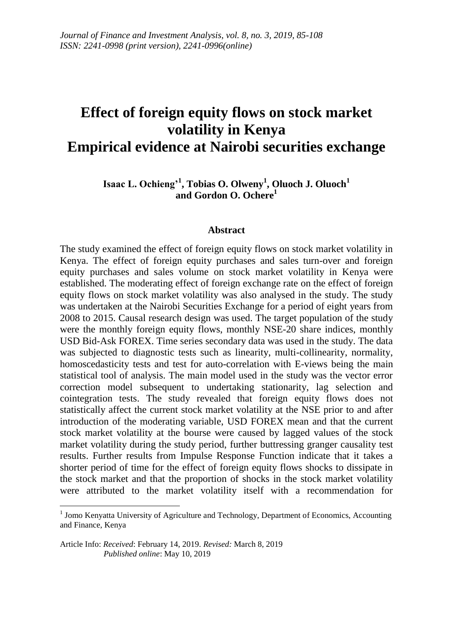# **Effect of foreign equity flows on stock market volatility in Kenya Empirical evidence at Nairobi securities exchange**

**Isaac L. Ochieng'<sup>1</sup> , Tobias O. Olweny<sup>1</sup> , Oluoch J. Oluoch<sup>1</sup> and Gordon O. Ochere<sup>1</sup>**

#### **Abstract**

The study examined the effect of foreign equity flows on stock market volatility in Kenya. The effect of foreign equity purchases and sales turn-over and foreign equity purchases and sales volume on stock market volatility in Kenya were established. The moderating effect of foreign exchange rate on the effect of foreign equity flows on stock market volatility was also analysed in the study. The study was undertaken at the Nairobi Securities Exchange for a period of eight years from 2008 to 2015. Causal research design was used. The target population of the study were the monthly foreign equity flows, monthly NSE-20 share indices, monthly USD Bid-Ask FOREX. Time series secondary data was used in the study. The data was subjected to diagnostic tests such as linearity, multi-collinearity, normality, homoscedasticity tests and test for auto-correlation with E-views being the main statistical tool of analysis. The main model used in the study was the vector error correction model subsequent to undertaking stationarity, lag selection and cointegration tests. The study revealed that foreign equity flows does not statistically affect the current stock market volatility at the NSE prior to and after introduction of the moderating variable, USD FOREX mean and that the current stock market volatility at the bourse were caused by lagged values of the stock market volatility during the study period, further buttressing granger causality test results. Further results from Impulse Response Function indicate that it takes a shorter period of time for the effect of foreign equity flows shocks to dissipate in the stock market and that the proportion of shocks in the stock market volatility were attributed to the market volatility itself with a recommendation for

 1 Jomo Kenyatta University of Agriculture and Technology, Department of Economics, Accounting and Finance, Kenya

Article Info: *Received*: February 14, 2019. *Revised:* March 8, 2019 *Published online*: May 10, 2019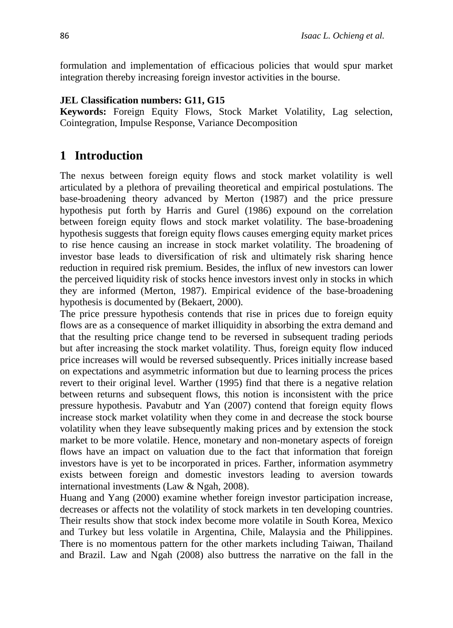formulation and implementation of efficacious policies that would spur market integration thereby increasing foreign investor activities in the bourse.

### **JEL Classification numbers: G11, G15**

**Keywords:** Foreign Equity Flows, Stock Market Volatility, Lag selection, Cointegration, Impulse Response, Variance Decomposition

# **1 Introduction**

The nexus between foreign equity flows and stock market volatility is well articulated by a plethora of prevailing theoretical and empirical postulations. The base-broadening theory advanced by Merton (1987) and the price pressure hypothesis put forth by Harris and Gurel (1986) expound on the correlation between foreign equity flows and stock market volatility. The base-broadening hypothesis suggests that foreign equity flows causes emerging equity market prices to rise hence causing an increase in stock market volatility. The broadening of investor base leads to diversification of risk and ultimately risk sharing hence reduction in required risk premium. Besides, the influx of new investors can lower the perceived liquidity risk of stocks hence investors invest only in stocks in which they are informed (Merton, 1987). Empirical evidence of the base-broadening hypothesis is documented by (Bekaert, 2000).

The price pressure hypothesis contends that rise in prices due to foreign equity flows are as a consequence of market illiquidity in absorbing the extra demand and that the resulting price change tend to be reversed in subsequent trading periods but after increasing the stock market volatility. Thus, foreign equity flow induced price increases will would be reversed subsequently. Prices initially increase based on expectations and asymmetric information but due to learning process the prices revert to their original level. Warther (1995) find that there is a negative relation between returns and subsequent flows, this notion is inconsistent with the price pressure hypothesis. Pavabutr and Yan (2007) contend that foreign equity flows increase stock market volatility when they come in and decrease the stock bourse volatility when they leave subsequently making prices and by extension the stock market to be more volatile. Hence, monetary and non-monetary aspects of foreign flows have an impact on valuation due to the fact that information that foreign investors have is yet to be incorporated in prices. Farther, information asymmetry exists between foreign and domestic investors leading to aversion towards international investments (Law & Ngah, 2008).

Huang and Yang (2000) examine whether foreign investor participation increase, decreases or affects not the volatility of stock markets in ten developing countries. Their results show that stock index become more volatile in South Korea, Mexico and Turkey but less volatile in Argentina, Chile, Malaysia and the Philippines. There is no momentous pattern for the other markets including Taiwan, Thailand and Brazil. Law and Ngah (2008) also buttress the narrative on the fall in the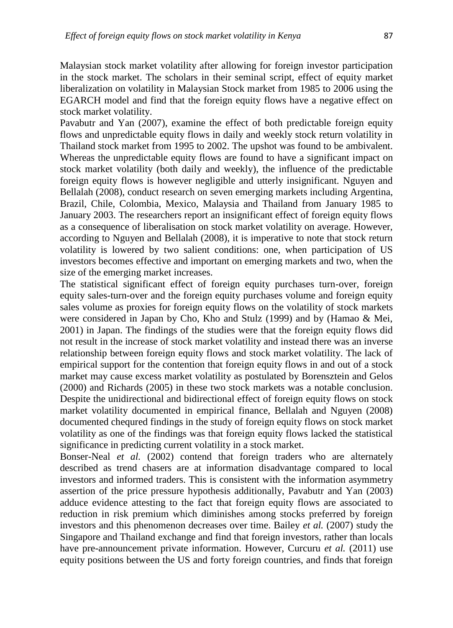Malaysian stock market volatility after allowing for foreign investor participation in the stock market. The scholars in their seminal script, effect of equity market liberalization on volatility in Malaysian Stock market from 1985 to 2006 using the EGARCH model and find that the foreign equity flows have a negative effect on stock market volatility.

Pavabutr and Yan (2007), examine the effect of both predictable foreign equity flows and unpredictable equity flows in daily and weekly stock return volatility in Thailand stock market from 1995 to 2002. The upshot was found to be ambivalent. Whereas the unpredictable equity flows are found to have a significant impact on stock market volatility (both daily and weekly), the influence of the predictable foreign equity flows is however negligible and utterly insignificant. Nguyen and Bellalah (2008), conduct research on seven emerging markets including Argentina, Brazil, Chile, Colombia, Mexico, Malaysia and Thailand from January 1985 to January 2003. The researchers report an insignificant effect of foreign equity flows as a consequence of liberalisation on stock market volatility on average. However, according to Nguyen and Bellalah (2008), it is imperative to note that stock return volatility is lowered by two salient conditions: one, when participation of US investors becomes effective and important on emerging markets and two, when the size of the emerging market increases.

The statistical significant effect of foreign equity purchases turn-over, foreign equity sales-turn-over and the foreign equity purchases volume and foreign equity sales volume as proxies for foreign equity flows on the volatility of stock markets were considered in Japan by Cho, Kho and Stulz (1999) and by (Hamao & Mei, 2001) in Japan. The findings of the studies were that the foreign equity flows did not result in the increase of stock market volatility and instead there was an inverse relationship between foreign equity flows and stock market volatility. The lack of empirical support for the contention that foreign equity flows in and out of a stock market may cause excess market volatility as postulated by Borensztein and Gelos (2000) and Richards (2005) in these two stock markets was a notable conclusion. Despite the unidirectional and bidirectional effect of foreign equity flows on stock market volatility documented in empirical finance, Bellalah and Nguyen (2008) documented chequred findings in the study of foreign equity flows on stock market volatility as one of the findings was that foreign equity flows lacked the statistical significance in predicting current volatility in a stock market.

Bonser-Neal *et al.* (2002) contend that foreign traders who are alternately described as trend chasers are at information disadvantage compared to local investors and informed traders. This is consistent with the information asymmetry assertion of the price pressure hypothesis additionally, Pavabutr and Yan (2003) adduce evidence attesting to the fact that foreign equity flows are associated to reduction in risk premium which diminishes among stocks preferred by foreign investors and this phenomenon decreases over time. Bailey *et al.* (2007) study the Singapore and Thailand exchange and find that foreign investors, rather than locals have pre-announcement private information. However, Curcuru *et al.* (2011) use equity positions between the US and forty foreign countries, and finds that foreign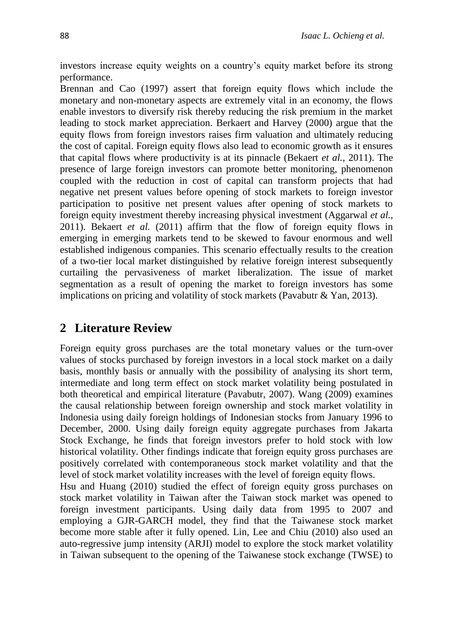investors increase equity weights on a country's equity market before its strong performance.

Brennan and Cao (1997) assert that foreign equity flows which include the monetary and non-monetary aspects are extremely vital in an economy, the flows enable investors to diversify risk thereby reducing the risk premium in the market leading to stock market appreciation. Berkaert and Harvey (2000) argue that the equity flows from foreign investors raises firm valuation and ultimately reducing the cost of capital. Foreign equity flows also lead to economic growth as it ensures that capital flows where productivity is at its pinnacle (Bekaert *et al.*, 2011). The presence of large foreign investors can promote better monitoring, phenomenon coupled with the reduction in cost of capital can transform projects that had negative net present values before opening of stock markets to foreign investor participation to positive net present values after opening of stock markets to foreign equity investment thereby increasing physical investment (Aggarwal *et al.,*  2011). Bekaert *et al.* (2011) affirm that the flow of foreign equity flows in emerging in emerging markets tend to be skewed to favour enormous and well established indigenous companies. This scenario effectually results to the creation of a two-tier local market distinguished by relative foreign interest subsequently curtailing the pervasiveness of market liberalization. The issue of market segmentation as a result of opening the market to foreign investors has some implications on pricing and volatility of stock markets (Pavabutr & Yan, 2013).

# **2 Literature Review**

Foreign equity gross purchases are the total monetary values or the turn-over values of stocks purchased by foreign investors in a local stock market on a daily basis, monthly basis or annually with the possibility of analysing its short term, intermediate and long term effect on stock market volatility being postulated in both theoretical and empirical literature (Pavabutr, 2007). Wang (2009) examines the causal relationship between foreign ownership and stock market volatility in Indonesia using daily foreign holdings of Indonesian stocks from January 1996 to December, 2000. Using daily foreign equity aggregate purchases from Jakarta Stock Exchange, he finds that foreign investors prefer to hold stock with low historical volatility. Other findings indicate that foreign equity gross purchases are positively correlated with contemporaneous stock market volatility and that the level of stock market volatility increases with the level of foreign equity flows.

Hsu and Huang (2010) studied the effect of foreign equity gross purchases on stock market volatility in Taiwan after the Taiwan stock market was opened to foreign investment participants. Using daily data from 1995 to 2007 and employing a GJR-GARCH model, they find that the Taiwanese stock market become more stable after it fully opened. Lin, Lee and Chiu (2010) also used an auto-regressive jump intensity (ARJI) model to explore the stock market volatility in Taiwan subsequent to the opening of the Taiwanese stock exchange (TWSE) to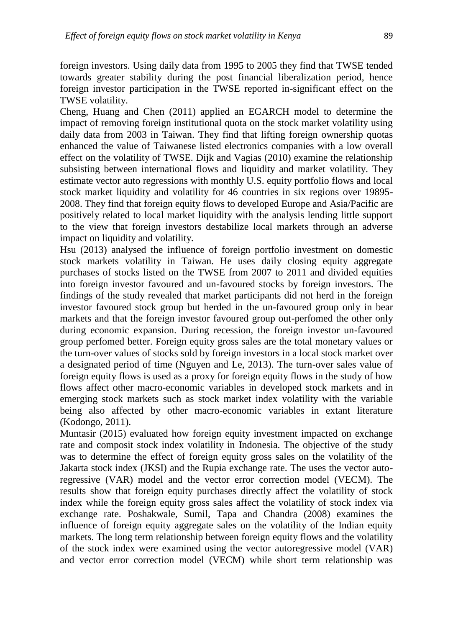foreign investors. Using daily data from 1995 to 2005 they find that TWSE tended towards greater stability during the post financial liberalization period, hence foreign investor participation in the TWSE reported in-significant effect on the TWSE volatility.

Cheng, Huang and Chen (2011) applied an EGARCH model to determine the impact of removing foreign institutional quota on the stock market volatility using daily data from 2003 in Taiwan. They find that lifting foreign ownership quotas enhanced the value of Taiwanese listed electronics companies with a low overall effect on the volatility of TWSE. Dijk and Vagias (2010) examine the relationship subsisting between international flows and liquidity and market volatility. They estimate vector auto regressions with monthly U.S. equity portfolio flows and local stock market liquidity and volatility for 46 countries in six regions over 19895- 2008. They find that foreign equity flows to developed Europe and Asia/Pacific are positively related to local market liquidity with the analysis lending little support to the view that foreign investors destabilize local markets through an adverse impact on liquidity and volatility.

Hsu (2013) analysed the influence of foreign portfolio investment on domestic stock markets volatility in Taiwan. He uses daily closing equity aggregate purchases of stocks listed on the TWSE from 2007 to 2011 and divided equities into foreign investor favoured and un-favoured stocks by foreign investors. The findings of the study revealed that market participants did not herd in the foreign investor favoured stock group but herded in the un-favoured group only in bear markets and that the foreign investor favoured group out-perfomed the other only during economic expansion. During recession, the foreign investor un-favoured group perfomed better. Foreign equity gross sales are the total monetary values or the turn-over values of stocks sold by foreign investors in a local stock market over a designated period of time (Nguyen and Le, 2013). The turn-over sales value of foreign equity flows is used as a proxy for foreign equity flows in the study of how flows affect other macro-economic variables in developed stock markets and in emerging stock markets such as stock market index volatility with the variable being also affected by other macro-economic variables in extant literature (Kodongo, 2011).

Muntasir (2015) evaluated how foreign equity investment impacted on exchange rate and composit stock index volatility in Indonesia. The objective of the study was to determine the effect of foreign equity gross sales on the volatility of the Jakarta stock index (JKSI) and the Rupia exchange rate. The uses the vector autoregressive (VAR) model and the vector error correction model (VECM). The results show that foreign equity purchases directly affect the volatility of stock index while the foreign equity gross sales affect the volatility of stock index via exchange rate. Poshakwale, Sumil, Tapa and Chandra (2008) examines the influence of foreign equity aggregate sales on the volatility of the Indian equity markets. The long term relationship between foreign equity flows and the volatility of the stock index were examined using the vector autoregressive model (VAR) and vector error correction model (VECM) while short term relationship was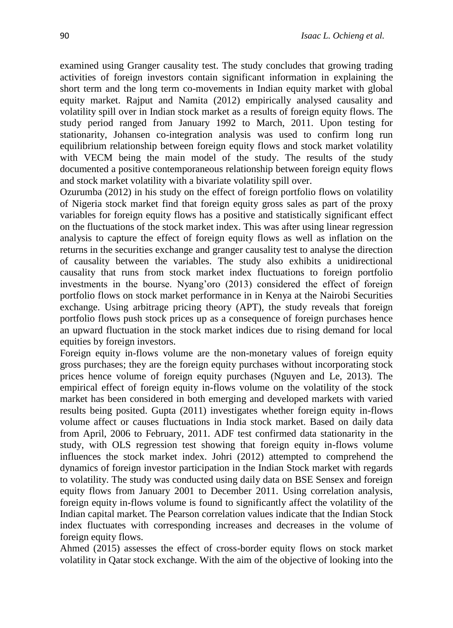examined using Granger causality test. The study concludes that growing trading activities of foreign investors contain significant information in explaining the short term and the long term co-movements in Indian equity market with global equity market. Rajput and Namita (2012) empirically analysed causality and volatility spill over in Indian stock market as a results of foreign equity flows. The study period ranged from January 1992 to March, 2011. Upon testing for stationarity, Johansen co-integration analysis was used to confirm long run equilibrium relationship between foreign equity flows and stock market volatility with VECM being the main model of the study. The results of the study documented a positive contemporaneous relationship between foreign equity flows and stock market volatility with a bivariate volatility spill over.

Ozurumba (2012) in his study on the effect of foreign portfolio flows on volatility of Nigeria stock market find that foreign equity gross sales as part of the proxy variables for foreign equity flows has a positive and statistically significant effect on the fluctuations of the stock market index. This was after using linear regression analysis to capture the effect of foreign equity flows as well as inflation on the returns in the securities exchange and granger causality test to analyse the direction of causality between the variables. The study also exhibits a unidirectional causality that runs from stock market index fluctuations to foreign portfolio investments in the bourse. Nyang'oro (2013) considered the effect of foreign portfolio flows on stock market performance in in Kenya at the Nairobi Securities exchange. Using arbitrage pricing theory (APT), the study reveals that foreign portfolio flows push stock prices up as a consequence of foreign purchases hence an upward fluctuation in the stock market indices due to rising demand for local equities by foreign investors.

Foreign equity in-flows volume are the non-monetary values of foreign equity gross purchases; they are the foreign equity purchases without incorporating stock prices hence volume of foreign equity purchases (Nguyen and Le, 2013). The empirical effect of foreign equity in-flows volume on the volatility of the stock market has been considered in both emerging and developed markets with varied results being posited. Gupta (2011) investigates whether foreign equity in-flows volume affect or causes fluctuations in India stock market. Based on daily data from April, 2006 to February, 2011. ADF test confirmed data stationarity in the study, with OLS regression test showing that foreign equity in-flows volume influences the stock market index. Johri (2012) attempted to comprehend the dynamics of foreign investor participation in the Indian Stock market with regards to volatility. The study was conducted using daily data on BSE Sensex and foreign equity flows from January 2001 to December 2011. Using correlation analysis, foreign equity in-flows volume is found to significantly affect the volatility of the Indian capital market. The Pearson correlation values indicate that the Indian Stock index fluctuates with corresponding increases and decreases in the volume of foreign equity flows.

Ahmed (2015) assesses the effect of cross-border equity flows on stock market volatility in Qatar stock exchange. With the aim of the objective of looking into the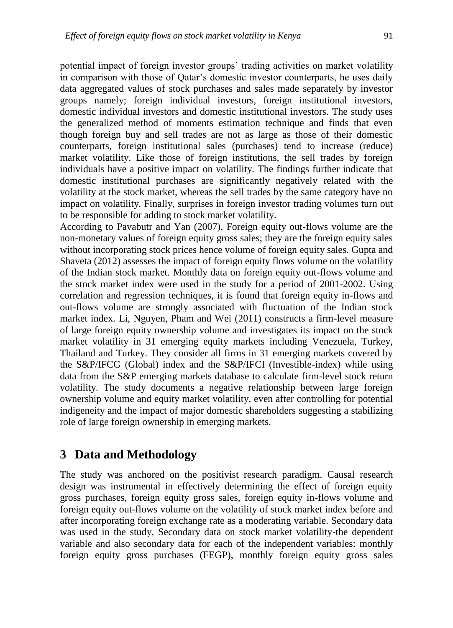potential impact of foreign investor groups' trading activities on market volatility in comparison with those of Qatar's domestic investor counterparts, he uses daily data aggregated values of stock purchases and sales made separately by investor groups namely; foreign individual investors, foreign institutional investors, domestic individual investors and domestic institutional investors. The study uses the generalized method of moments estimation technique and finds that even though foreign buy and sell trades are not as large as those of their domestic counterparts, foreign institutional sales (purchases) tend to increase (reduce) market volatility. Like those of foreign institutions, the sell trades by foreign individuals have a positive impact on volatility. The findings further indicate that domestic institutional purchases are significantly negatively related with the volatility at the stock market, whereas the sell trades by the same category have no impact on volatility. Finally, surprises in foreign investor trading volumes turn out to be responsible for adding to stock market volatility.

According to Pavabutr and Yan (2007), Foreign equity out-flows volume are the non-monetary values of foreign equity gross sales; they are the foreign equity sales without incorporating stock prices hence volume of foreign equity sales. Gupta and Shaveta (2012) assesses the impact of foreign equity flows volume on the volatility of the Indian stock market. Monthly data on foreign equity out-flows volume and the stock market index were used in the study for a period of 2001-2002. Using correlation and regression techniques, it is found that foreign equity in-flows and out-flows volume are strongly associated with fluctuation of the Indian stock market index. Li, Nguyen, Pham and Wei (2011) constructs a firm-level measure of large foreign equity ownership volume and investigates its impact on the stock market volatility in 31 emerging equity markets including Venezuela, Turkey, Thailand and Turkey. They consider all firms in 31 emerging markets covered by the S&P/IFCG (Global) index and the S&P/IFCI (Investible-index) while using data from the S&P emerging markets database to calculate firm-level stock return volatility. The study documents a negative relationship between large foreign ownership volume and equity market volatility, even after controlling for potential indigeneity and the impact of major domestic shareholders suggesting a stabilizing role of large foreign ownership in emerging markets.

# **3 Data and Methodology**

The study was anchored on the positivist research paradigm. Causal research design was instrumental in effectively determining the effect of foreign equity gross purchases, foreign equity gross sales, foreign equity in-flows volume and foreign equity out-flows volume on the volatility of stock market index before and after incorporating foreign exchange rate as a moderating variable. Secondary data was used in the study, Secondary data on stock market volatility-the dependent variable and also secondary data for each of the independent variables: monthly foreign equity gross purchases (FEGP), monthly foreign equity gross sales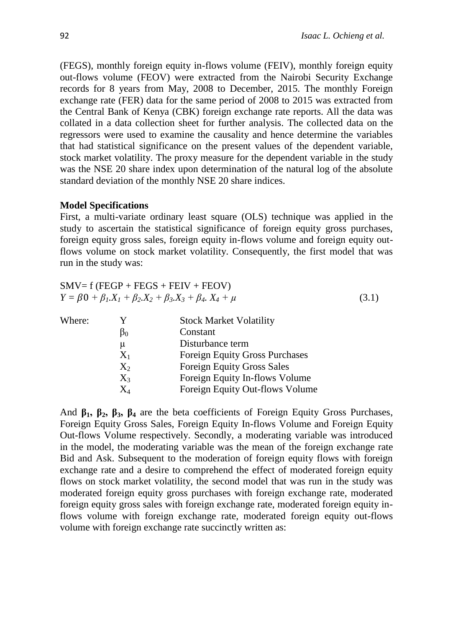(FEGS), monthly foreign equity in-flows volume (FEIV), monthly foreign equity out-flows volume (FEOV) were extracted from the Nairobi Security Exchange records for 8 years from May, 2008 to December, 2015. The monthly Foreign exchange rate (FER) data for the same period of 2008 to 2015 was extracted from the Central Bank of Kenya (CBK) foreign exchange rate reports. All the data was collated in a data collection sheet for further analysis. The collected data on the regressors were used to examine the causality and hence determine the variables that had statistical significance on the present values of the dependent variable, stock market volatility. The proxy measure for the dependent variable in the study was the NSE 20 share index upon determination of the natural log of the absolute standard deviation of the monthly NSE 20 share indices.

#### **Model Specifications**

First, a multi-variate ordinary least square (OLS) technique was applied in the study to ascertain the statistical significance of foreign equity gross purchases, foreign equity gross sales, foreign equity in-flows volume and foreign equity outflows volume on stock market volatility. Consequently, the first model that was run in the study was:

| $SMV = f (FEGP + FEGS + FEIV + FEOV)$                                       |       |
|-----------------------------------------------------------------------------|-------|
| $Y = \beta 0 + \beta_1 X_1 + \beta_2 X_2 + \beta_3 X_3 + \beta_4 X_4 + \mu$ | (3.1) |

| Where: | Y         | <b>Stock Market Volatility</b>        |
|--------|-----------|---------------------------------------|
|        | $\beta_0$ | Constant                              |
|        | μ         | Disturbance term                      |
|        | $X_1$     | <b>Foreign Equity Gross Purchases</b> |
|        | $X_2$     | <b>Foreign Equity Gross Sales</b>     |
|        | $X_3$     | Foreign Equity In-flows Volume        |
|        | $\rm X_4$ | Foreign Equity Out-flows Volume       |

And **β1, β2, β3, β<sup>4</sup>** are the beta coefficients of Foreign Equity Gross Purchases, Foreign Equity Gross Sales, Foreign Equity In-flows Volume and Foreign Equity Out-flows Volume respectively. Secondly, a moderating variable was introduced in the model, the moderating variable was the mean of the foreign exchange rate Bid and Ask. Subsequent to the moderation of foreign equity flows with foreign exchange rate and a desire to comprehend the effect of moderated foreign equity flows on stock market volatility, the second model that was run in the study was moderated foreign equity gross purchases with foreign exchange rate, moderated foreign equity gross sales with foreign exchange rate, moderated foreign equity inflows volume with foreign exchange rate, moderated foreign equity out-flows volume with foreign exchange rate succinctly written as: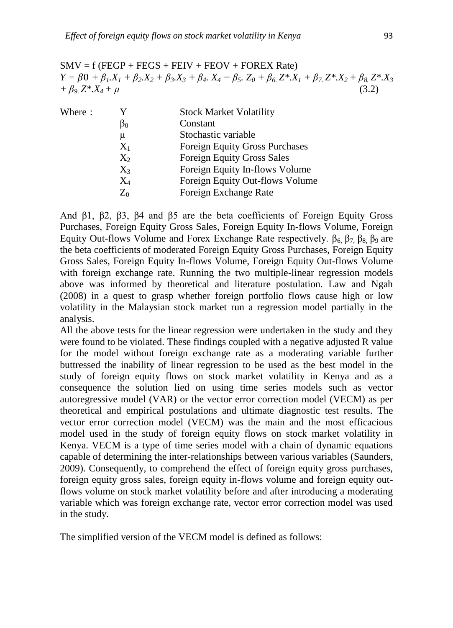$SMV = f (FEGP + FEGS + FEIV + FEOV + FOREX Rate)$  $Y = \beta 0 + \beta_1 X_1 + \beta_2 X_2 + \beta_3 X_3 + \beta_4 X_4 + \beta_5 Z_0 + \beta_6 Z^* X_1 + \beta_7 Z^* X_2 + \beta_8 Z^* X_3$  $+ \beta_9 Z^* X_4 + \mu$  (3.2)

| Y         | <b>Stock Market Volatility</b>        |
|-----------|---------------------------------------|
| $\beta_0$ | Constant                              |
| μ         | Stochastic variable                   |
| $X_1$     | <b>Foreign Equity Gross Purchases</b> |
| $X_2$     | <b>Foreign Equity Gross Sales</b>     |
| $X_3$     | Foreign Equity In-flows Volume        |
| $\rm X_4$ | Foreign Equity Out-flows Volume       |
| $Z_0$     | Foreign Exchange Rate                 |
|           |                                       |

And β1, β2, β3, β4 and β5 are the beta coefficients of Foreign Equity Gross Purchases, Foreign Equity Gross Sales, Foreign Equity In-flows Volume, Foreign Equity Out-flows Volume and Forex Exchange Rate respectively.  $β_6$   $β_7$   $β_8$   $β_9$  are the beta coefficients of moderated Foreign Equity Gross Purchases, Foreign Equity Gross Sales, Foreign Equity In-flows Volume, Foreign Equity Out-flows Volume with foreign exchange rate. Running the two multiple-linear regression models above was informed by theoretical and literature postulation. Law and Ngah (2008) in a quest to grasp whether foreign portfolio flows cause high or low volatility in the Malaysian stock market run a regression model partially in the analysis.

All the above tests for the linear regression were undertaken in the study and they were found to be violated. These findings coupled with a negative adjusted R value for the model without foreign exchange rate as a moderating variable further buttressed the inability of linear regression to be used as the best model in the study of foreign equity flows on stock market volatility in Kenya and as a consequence the solution lied on using time series models such as vector autoregressive model (VAR) or the vector error correction model (VECM) as per theoretical and empirical postulations and ultimate diagnostic test results. The vector error correction model (VECM) was the main and the most efficacious model used in the study of foreign equity flows on stock market volatility in Kenya. VECM is a type of time series model with a chain of dynamic equations capable of determining the inter-relationships between various variables (Saunders, 2009). Consequently, to comprehend the effect of foreign equity gross purchases, foreign equity gross sales, foreign equity in-flows volume and foreign equity outflows volume on stock market volatility before and after introducing a moderating variable which was foreign exchange rate, vector error correction model was used in the study.

The simplified version of the VECM model is defined as follows: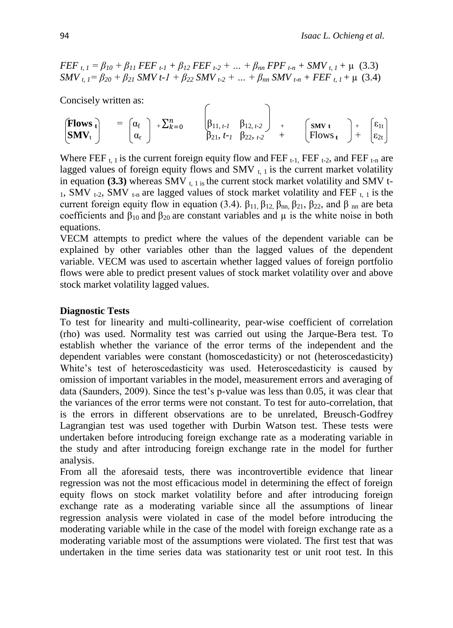$FEF$ <sub>*t, 1*</sub> =  $\beta_{10}$  +  $\beta_{11}$   $FEF$ <sub>*t-1*</sub> +  $\beta_{12}$   $FEF$ <sub>*t-2*</sub> + ... +  $\beta_{nn}$   $FPF$ <sub>*t-n*</sub> +  $SMV$ <sub>*t, 1*</sub> +  $\mu$  (3.3)  $SMV_{t,1} = \beta_{20} + \beta_{21}$   $SMV t-1 + \beta_{22}$   $SMV_{t-2} + ... + \beta_{nn}$   $SMV_{t-n} + FEF_{t,1} + \mu$  (3.4)

Concisely written as:

$$
\begin{array}{rcl}\n\left(\text{Flows }_{t}\right) & = & \begin{bmatrix} \alpha_{f} \\ \alpha_{r} \end{bmatrix} + \sum_{k=0}^{n} & \begin{bmatrix} \beta_{11, t-1} & \beta_{12, t-2} \\ \beta_{21, t-1} & \beta_{22, t-2} \end{bmatrix} + \begin{bmatrix} \text{SMV }_{t} \\ \text{Flows }_{t} \end{bmatrix} + \begin{bmatrix} \varepsilon_{1t} \\ \varepsilon_{2t} \end{bmatrix}\n\end{array}
$$

Where FEF  $_{t,1}$  is the current foreign equity flow and FEF  $_{t-1}$ , FEF  $_{t-2}$ , and FEF  $_{t-n}$  are lagged values of foreign equity flows and SMV  $_{t, 1}$  is the current market volatility in equation  $(3.3)$  whereas SMV  $_{t, 1}$  is the current stock market volatility and SMV t- $_{1}$ , SMV  $_{t-2}$ , SMV  $_{t-n}$  are lagged values of stock market volatility and FEF  $_{t-1}$  is the current foreign equity flow in equation (3.4).  $β_{11}$ ,  $β_{12}$ ,  $β_{nn}$ ,  $β_{21}$ ,  $β_{22}$ , and  $β_{nn}$  are beta coefficients and  $\beta_{10}$  and  $\beta_{20}$  are constant variables and  $\mu$  is the white noise in both equations.

VECM attempts to predict where the values of the dependent variable can be explained by other variables other than the lagged values of the dependent variable. VECM was used to ascertain whether lagged values of foreign portfolio flows were able to predict present values of stock market volatility over and above stock market volatility lagged values.

### **Diagnostic Tests**

To test for linearity and multi-collinearity, pear-wise coefficient of correlation (rho) was used. Normality test was carried out using the Jarque-Bera test. To establish whether the variance of the error terms of the independent and the dependent variables were constant (homoscedasticity) or not (heteroscedasticity) White's test of heteroscedasticity was used. Heteroscedasticity is caused by omission of important variables in the model, measurement errors and averaging of data (Saunders, 2009). Since the test's p-value was less than 0.05, it was clear that the variances of the error terms were not constant. To test for auto-correlation, that is the errors in different observations are to be unrelated, Breusch-Godfrey Lagrangian test was used together with Durbin Watson test. These tests were undertaken before introducing foreign exchange rate as a moderating variable in the study and after introducing foreign exchange rate in the model for further analysis.

From all the aforesaid tests, there was incontrovertible evidence that linear regression was not the most efficacious model in determining the effect of foreign equity flows on stock market volatility before and after introducing foreign exchange rate as a moderating variable since all the assumptions of linear regression analysis were violated in case of the model before introducing the moderating variable while in the case of the model with foreign exchange rate as a moderating variable most of the assumptions were violated. The first test that was undertaken in the time series data was stationarity test or unit root test. In this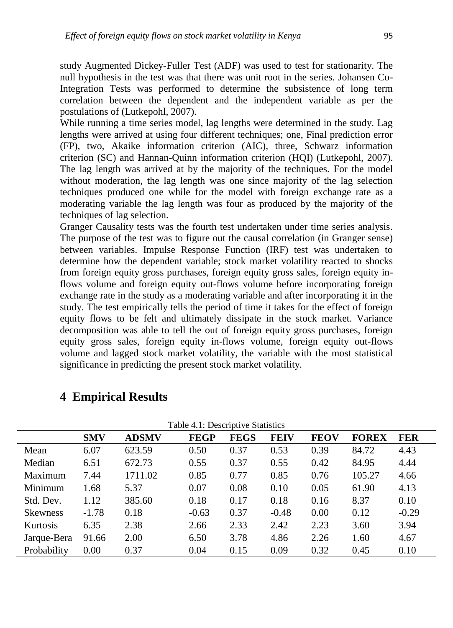study Augmented Dickey-Fuller Test (ADF) was used to test for stationarity. The null hypothesis in the test was that there was unit root in the series. Johansen Co-Integration Tests was performed to determine the subsistence of long term correlation between the dependent and the independent variable as per the postulations of (Lutkepohl, 2007).

While running a time series model, lag lengths were determined in the study. Lag lengths were arrived at using four different techniques; one, Final prediction error (FP), two, Akaike information criterion (AIC), three, Schwarz information criterion (SC) and Hannan-Quinn information criterion (HQI) (Lutkepohl, 2007). The lag length was arrived at by the majority of the techniques. For the model without moderation, the lag length was one since majority of the lag selection techniques produced one while for the model with foreign exchange rate as a moderating variable the lag length was four as produced by the majority of the techniques of lag selection.

Granger Causality tests was the fourth test undertaken under time series analysis. The purpose of the test was to figure out the causal correlation (in Granger sense) between variables. Impulse Response Function (IRF) test was undertaken to determine how the dependent variable; stock market volatility reacted to shocks from foreign equity gross purchases, foreign equity gross sales, foreign equity inflows volume and foreign equity out-flows volume before incorporating foreign exchange rate in the study as a moderating variable and after incorporating it in the study. The test empirically tells the period of time it takes for the effect of foreign equity flows to be felt and ultimately dissipate in the stock market. Variance decomposition was able to tell the out of foreign equity gross purchases, foreign equity gross sales, foreign equity in-flows volume, foreign equity out-flows volume and lagged stock market volatility, the variable with the most statistical significance in predicting the present stock market volatility.

| Table 4.1: Descriptive Statistics |            |              |             |             |             |             |              |            |
|-----------------------------------|------------|--------------|-------------|-------------|-------------|-------------|--------------|------------|
|                                   | <b>SMV</b> | <b>ADSMV</b> | <b>FEGP</b> | <b>FEGS</b> | <b>FEIV</b> | <b>FEOV</b> | <b>FOREX</b> | <b>FER</b> |
| Mean                              | 6.07       | 623.59       | 0.50        | 0.37        | 0.53        | 0.39        | 84.72        | 4.43       |
| Median                            | 6.51       | 672.73       | 0.55        | 0.37        | 0.55        | 0.42        | 84.95        | 4.44       |
| Maximum                           | 7.44       | 1711.02      | 0.85        | 0.77        | 0.85        | 0.76        | 105.27       | 4.66       |
| Minimum                           | 1.68       | 5.37         | 0.07        | 0.08        | 0.10        | 0.05        | 61.90        | 4.13       |
| Std. Dev.                         | 1.12       | 385.60       | 0.18        | 0.17        | 0.18        | 0.16        | 8.37         | 0.10       |
| <b>Skewness</b>                   | $-1.78$    | 0.18         | $-0.63$     | 0.37        | $-0.48$     | 0.00        | 0.12         | $-0.29$    |
| Kurtosis                          | 6.35       | 2.38         | 2.66        | 2.33        | 2.42        | 2.23        | 3.60         | 3.94       |
| Jarque-Bera                       | 91.66      | 2.00         | 6.50        | 3.78        | 4.86        | 2.26        | 1.60         | 4.67       |
| Probability                       | 0.00       | 0.37         | 0.04        | 0.15        | 0.09        | 0.32        | 0.45         | 0.10       |

# **4 Empirical Results**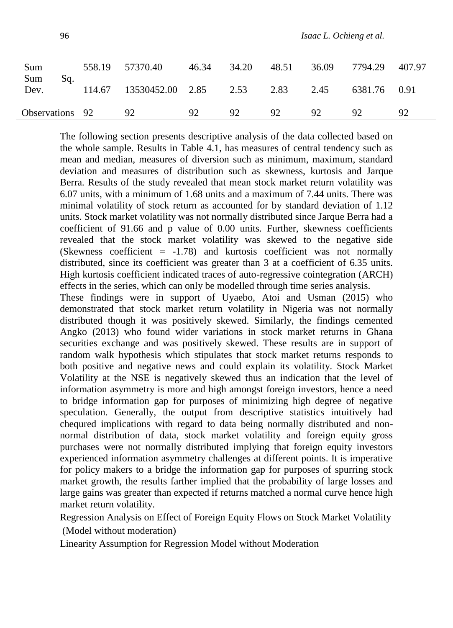| Sum                | 558.19 | 57370.40         | 46.34 | 34.20           | 48.51 | 36.09 | 7794.29      | 407.97 |
|--------------------|--------|------------------|-------|-----------------|-------|-------|--------------|--------|
| Sum<br>Sq.<br>Dev. | 114.67 | 13530452.00 2.85 |       | 2.53            | 2.83  | 2.45  | 6381.76 0.91 |        |
| Observations 92    |        | 92               | 92    | 92 <sub>o</sub> | 92    | 92    | 92.          | 92     |

The following section presents descriptive analysis of the data collected based on the whole sample. Results in Table 4.1, has measures of central tendency such as mean and median, measures of diversion such as minimum, maximum, standard deviation and measures of distribution such as skewness, kurtosis and Jarque Berra. Results of the study revealed that mean stock market return volatility was 6.07 units, with a minimum of 1.68 units and a maximum of 7.44 units. There was minimal volatility of stock return as accounted for by standard deviation of 1.12 units. Stock market volatility was not normally distributed since Jarque Berra had a coefficient of 91.66 and p value of 0.00 units. Further, skewness coefficients revealed that the stock market volatility was skewed to the negative side (Skewness coefficient  $= -1.78$ ) and kurtosis coefficient was not normally distributed, since its coefficient was greater than 3 at a coefficient of 6.35 units. High kurtosis coefficient indicated traces of auto-regressive cointegration (ARCH) effects in the series, which can only be modelled through time series analysis.

These findings were in support of Uyaebo, Atoi and Usman (2015) who demonstrated that stock market return volatility in Nigeria was not normally distributed though it was positively skewed. Similarly, the findings cemented Angko (2013) who found wider variations in stock market returns in Ghana securities exchange and was positively skewed. These results are in support of random walk hypothesis which stipulates that stock market returns responds to both positive and negative news and could explain its volatility. Stock Market Volatility at the NSE is negatively skewed thus an indication that the level of information asymmetry is more and high amongst foreign investors, hence a need to bridge information gap for purposes of minimizing high degree of negative speculation. Generally, the output from descriptive statistics intuitively had chequred implications with regard to data being normally distributed and nonnormal distribution of data, stock market volatility and foreign equity gross purchases were not normally distributed implying that foreign equity investors experienced information asymmetry challenges at different points. It is imperative for policy makers to a bridge the information gap for purposes of spurring stock market growth, the results farther implied that the probability of large losses and large gains was greater than expected if returns matched a normal curve hence high market return volatility.

Regression Analysis on Effect of Foreign Equity Flows on Stock Market Volatility (Model without moderation)

Linearity Assumption for Regression Model without Moderation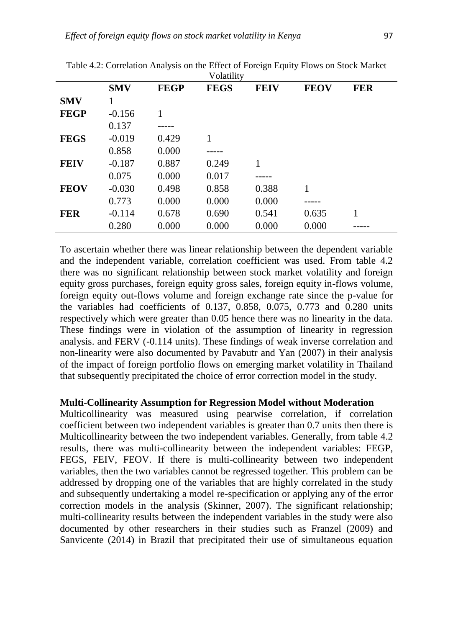| Volatility  |            |             |             |             |             |            |  |
|-------------|------------|-------------|-------------|-------------|-------------|------------|--|
|             | <b>SMV</b> | <b>FEGP</b> | <b>FEGS</b> | <b>FEIV</b> | <b>FEOV</b> | <b>FER</b> |  |
| <b>SMV</b>  |            |             |             |             |             |            |  |
| <b>FEGP</b> | $-0.156$   |             |             |             |             |            |  |
|             | 0.137      |             |             |             |             |            |  |
| <b>FEGS</b> | $-0.019$   | 0.429       | 1           |             |             |            |  |
|             | 0.858      | 0.000       |             |             |             |            |  |
| <b>FEIV</b> | $-0.187$   | 0.887       | 0.249       | 1           |             |            |  |
|             | 0.075      | 0.000       | 0.017       |             |             |            |  |
| <b>FEOV</b> | $-0.030$   | 0.498       | 0.858       | 0.388       | 1           |            |  |
|             | 0.773      | 0.000       | 0.000       | 0.000       |             |            |  |
| <b>FER</b>  | $-0.114$   | 0.678       | 0.690       | 0.541       | 0.635       | 1          |  |
|             | 0.280      | 0.000       | 0.000       | 0.000       | 0.000       |            |  |

Table 4.2: Correlation Analysis on the Effect of Foreign Equity Flows on Stock Market

To ascertain whether there was linear relationship between the dependent variable and the independent variable, correlation coefficient was used. From table 4.2 there was no significant relationship between stock market volatility and foreign equity gross purchases, foreign equity gross sales, foreign equity in-flows volume, foreign equity out-flows volume and foreign exchange rate since the p-value for the variables had coefficients of 0.137, 0.858, 0.075, 0.773 and 0.280 units respectively which were greater than 0.05 hence there was no linearity in the data. These findings were in violation of the assumption of linearity in regression analysis. and FERV (-0.114 units). These findings of weak inverse correlation and non-linearity were also documented by Pavabutr and Yan (2007) in their analysis of the impact of foreign portfolio flows on emerging market volatility in Thailand that subsequently precipitated the choice of error correction model in the study.

### **Multi-Collinearity Assumption for Regression Model without Moderation**

Multicollinearity was measured using pearwise correlation, if correlation coefficient between two independent variables is greater than 0.7 units then there is Multicollinearity between the two independent variables. Generally, from table 4.2 results, there was multi-collinearity between the independent variables: FEGP, FEGS, FEIV, FEOV. If there is multi-collinearity between two independent variables, then the two variables cannot be regressed together. This problem can be addressed by dropping one of the variables that are highly correlated in the study and subsequently undertaking a model re-specification or applying any of the error correction models in the analysis (Skinner, 2007). The significant relationship; multi-collinearity results between the independent variables in the study were also documented by other researchers in their studies such as Franzel (2009) and Sanvicente (2014) in Brazil that precipitated their use of simultaneous equation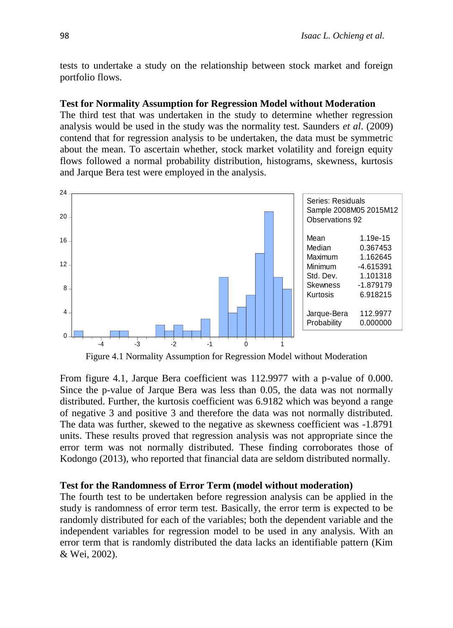tests to undertake a study on the relationship between stock market and foreign portfolio flows.

#### **Test for Normality Assumption for Regression Model without Moderation**

The third test that was undertaken in the study to determine whether regression analysis would be used in the study was the normality test. Saunders *et al*. (2009) contend that for regression analysis to be undertaken, the data must be symmetric about the mean. To ascertain whether, stock market volatility and foreign equity flows followed a normal probability distribution, histograms, skewness, kurtosis and Jarque Bera test were employed in the analysis.



Figure 4.1 Normality Assumption for Regression Model without Moderation

From figure 4.1, Jarque Bera coefficient was 112.9977 with a p-value of 0.000. Since the p-value of Jarque Bera was less than 0.05, the data was not normally distributed. Further, the kurtosis coefficient was 6.9182 which was beyond a range of negative 3 and positive 3 and therefore the data was not normally distributed. The data was further, skewed to the negative as skewness coefficient was -1.8791 units. These results proved that regression analysis was not appropriate since the error term was not normally distributed. These finding corroborates those of Kodongo (2013), who reported that financial data are seldom distributed normally.

### **Test for the Randomness of Error Term (model without moderation)**

The fourth test to be undertaken before regression analysis can be applied in the study is randomness of error term test. Basically, the error term is expected to be randomly distributed for each of the variables; both the dependent variable and the independent variables for regression model to be used in any analysis. With an error term that is randomly distributed the data lacks an identifiable pattern (Kim & Wei, 2002).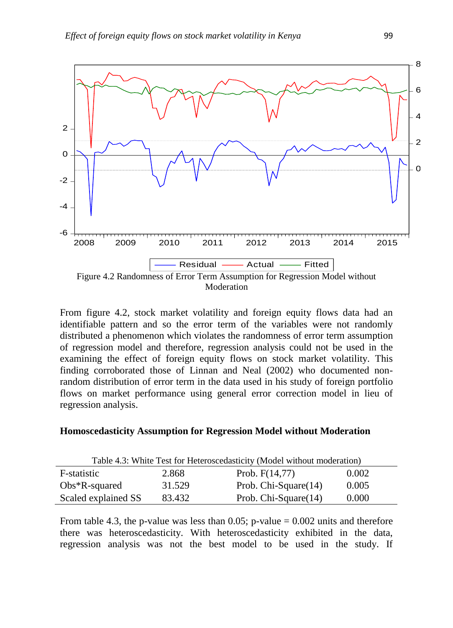

From figure 4.2, stock market volatility and foreign equity flows data had an identifiable pattern and so the error term of the variables were not randomly distributed a phenomenon which violates the randomness of error term assumption of regression model and therefore, regression analysis could not be used in the examining the effect of foreign equity flows on stock market volatility. This finding corroborated those of Linnan and Neal (2002) who documented nonrandom distribution of error term in the data used in his study of foreign portfolio flows on market performance using general error correction model in lieu of regression analysis.

### **Homoscedasticity Assumption for Regression Model without Moderation**

| Table 4.3: White Test for Heteroscedasticity (Model without moderation) |        |                      |       |  |
|-------------------------------------------------------------------------|--------|----------------------|-------|--|
| F-statistic                                                             | 2.868  | Prob. $F(14,77)$     | 0.002 |  |
| $Obs*R$ -squared                                                        | 31.529 | Prob. Chi-Square(14) | 0.005 |  |
| Scaled explained SS                                                     | 83.432 | Prob. Chi-Square(14) | 0.000 |  |

From table 4.3, the p-value was less than 0.05; p-value  $= 0.002$  units and therefore there was heteroscedasticity. With heteroscedasticity exhibited in the data, regression analysis was not the best model to be used in the study. If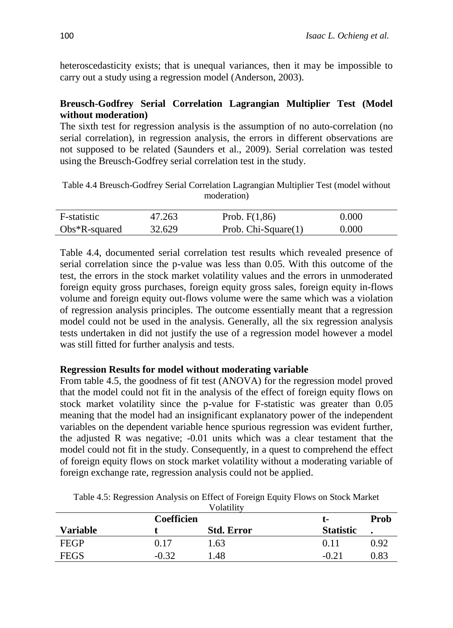heteroscedasticity exists; that is unequal variances, then it may be impossible to carry out a study using a regression model (Anderson, 2003).

### **Breusch-Godfrey Serial Correlation Lagrangian Multiplier Test (Model without moderation)**

The sixth test for regression analysis is the assumption of no auto-correlation (no serial correlation), in regression analysis, the errors in different observations are not supposed to be related (Saunders et al., 2009). Serial correlation was tested using the Breusch-Godfrey serial correlation test in the study.

Table 4.4 Breusch-Godfrey Serial Correlation Lagrangian Multiplier Test (model without moderation)

| F-statistic      | 47.263 | Prob. $F(1,86)$        | 0.000 |
|------------------|--------|------------------------|-------|
| $Obs*R$ -squared | 32.629 | Prob. Chi-Square $(1)$ | 0.000 |

Table 4.4, documented serial correlation test results which revealed presence of serial correlation since the p-value was less than 0.05. With this outcome of the test, the errors in the stock market volatility values and the errors in unmoderated foreign equity gross purchases, foreign equity gross sales, foreign equity in-flows volume and foreign equity out-flows volume were the same which was a violation of regression analysis principles. The outcome essentially meant that a regression model could not be used in the analysis. Generally, all the six regression analysis tests undertaken in did not justify the use of a regression model however a model was still fitted for further analysis and tests.

### **Regression Results for model without moderating variable**

From table 4.5, the goodness of fit test (ANOVA) for the regression model proved that the model could not fit in the analysis of the effect of foreign equity flows on stock market volatility since the p-value for F-statistic was greater than 0.05 meaning that the model had an insignificant explanatory power of the independent variables on the dependent variable hence spurious regression was evident further, the adjusted R was negative; -0.01 units which was a clear testament that the model could not fit in the study. Consequently, in a quest to comprehend the effect of foreign equity flows on stock market volatility without a moderating variable of foreign exchange rate, regression analysis could not be applied.

|                 |                   | Volatility        |                  |      |
|-----------------|-------------------|-------------------|------------------|------|
|                 | <b>Coefficien</b> |                   | L-               | Prob |
| <b>Variable</b> |                   | <b>Std. Error</b> | <b>Statistic</b> |      |
| <b>FEGP</b>     | 0.17              | 1.63              | 0.11             | 0.92 |
| <b>FEGS</b>     | $-0.32$           | 1.48              | $-0.21$          | 0.83 |

Table 4.5: Regression Analysis on Effect of Foreign Equity Flows on Stock Market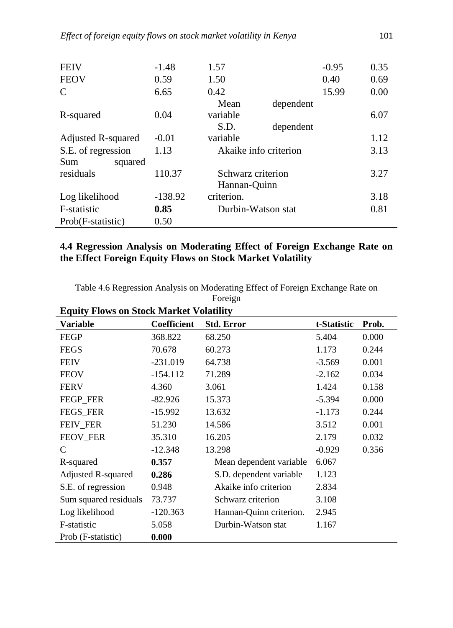| <b>FEIV</b>               | $-1.48$   | 1.57                  |           | $-0.95$ | 0.35 |
|---------------------------|-----------|-----------------------|-----------|---------|------|
| <b>FEOV</b>               | 0.59      | 1.50                  |           | 0.40    | 0.69 |
| C                         | 6.65      | 0.42                  |           | 15.99   | 0.00 |
|                           |           | Mean                  | dependent |         |      |
| R-squared                 | 0.04      | variable              |           |         | 6.07 |
|                           |           | S.D.                  | dependent |         |      |
| <b>Adjusted R-squared</b> | $-0.01$   | variable              |           |         | 1.12 |
| S.E. of regression        | 1.13      | Akaike info criterion |           |         | 3.13 |
| Sum<br>squared            |           |                       |           |         |      |
| residuals                 | 110.37    | Schwarz criterion     |           |         | 3.27 |
|                           |           | Hannan-Quinn          |           |         |      |
| Log likelihood            | $-138.92$ | criterion.            |           |         | 3.18 |
| F-statistic               | 0.85      | Durbin-Watson stat    |           |         | 0.81 |
| Prob(F-statistic)         | 0.50      |                       |           |         |      |

### **4.4 Regression Analysis on Moderating Effect of Foreign Exchange Rate on the Effect Foreign Equity Flows on Stock Market Volatility**

Table 4.6 Regression Analysis on Moderating Effect of Foreign Exchange Rate on Foreign

| <b>Variable</b>           | <b>Coefficient</b> | <b>Std. Error</b>       | t-Statistic | Prob. |
|---------------------------|--------------------|-------------------------|-------------|-------|
| <b>FEGP</b>               | 368.822            | 68.250                  | 5.404       | 0.000 |
| <b>FEGS</b>               | 70.678             | 60.273                  | 1.173       | 0.244 |
| <b>FEIV</b>               | $-231.019$         | 64.738                  | $-3.569$    | 0.001 |
| <b>FEOV</b>               | $-154.112$         | 71.289                  | $-2.162$    | 0.034 |
| <b>FERV</b>               | 4.360              | 3.061                   | 1.424       | 0.158 |
| FEGP_FER                  | $-82.926$          | 15.373                  | $-5.394$    | 0.000 |
| <b>FEGS_FER</b>           | $-15.992$          | 13.632                  | $-1.173$    | 0.244 |
| FEIV_FER                  | 51.230             | 14.586                  | 3.512       | 0.001 |
| <b>FEOV FER</b>           | 35.310             | 16.205                  | 2.179       | 0.032 |
| C                         | $-12.348$          | 13.298                  | $-0.929$    | 0.356 |
| R-squared                 | 0.357              | Mean dependent variable | 6.067       |       |
| <b>Adjusted R-squared</b> | 0.286              | S.D. dependent variable | 1.123       |       |
| S.E. of regression        | 0.948              | Akaike info criterion   | 2.834       |       |
| Sum squared residuals     | 73.737             | Schwarz criterion       | 3.108       |       |
| Log likelihood            | $-120.363$         | Hannan-Quinn criterion. | 2.945       |       |
| F-statistic               | 5.058              | Durbin-Watson stat      | 1.167       |       |
| Prob (F-statistic)        | 0.000              |                         |             |       |

# **Equity Flows on Stock Market Volatility**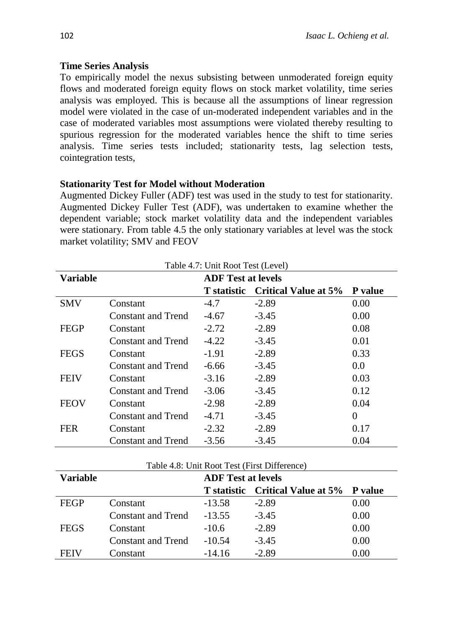### **Time Series Analysis**

To empirically model the nexus subsisting between unmoderated foreign equity flows and moderated foreign equity flows on stock market volatility, time series analysis was employed. This is because all the assumptions of linear regression model were violated in the case of un-moderated independent variables and in the case of moderated variables most assumptions were violated thereby resulting to spurious regression for the moderated variables hence the shift to time series analysis. Time series tests included; stationarity tests, lag selection tests, cointegration tests,

### **Stationarity Test for Model without Moderation**

Augmented Dickey Fuller (ADF) test was used in the study to test for stationarity. Augmented Dickey Fuller Test (ADF), was undertaken to examine whether the dependent variable; stock market volatility data and the independent variables were stationary. From table 4.5 the only stationary variables at level was the stock market volatility; SMV and FEOV

| Table 4.7: Unit Root Test (Level) |                           |                           |                             |                |  |
|-----------------------------------|---------------------------|---------------------------|-----------------------------|----------------|--|
| <b>Variable</b>                   |                           | <b>ADF</b> Test at levels |                             |                |  |
|                                   |                           | <b>T</b> statistic        | <b>Critical Value at 5%</b> | <b>P</b> value |  |
| <b>SMV</b>                        | Constant                  | $-4.7$                    | $-2.89$                     | 0.00           |  |
|                                   | Constant and Trend        | $-4.67$                   | $-3.45$                     | 0.00           |  |
| <b>FEGP</b>                       | Constant                  | $-2.72$                   | $-2.89$                     | 0.08           |  |
|                                   | Constant and Trend        | $-4.22$                   | $-3.45$                     | 0.01           |  |
| <b>FEGS</b>                       | Constant                  | $-1.91$                   | $-2.89$                     | 0.33           |  |
|                                   | Constant and Trend        | $-6.66$                   | $-3.45$                     | 0.0            |  |
| <b>FEIV</b>                       | Constant                  | $-3.16$                   | $-2.89$                     | 0.03           |  |
|                                   | Constant and Trend        | $-3.06$                   | $-3.45$                     | 0.12           |  |
| <b>FEOV</b>                       | Constant                  | $-2.98$                   | $-2.89$                     | 0.04           |  |
|                                   | <b>Constant and Trend</b> | $-4.71$                   | $-3.45$                     | $\Omega$       |  |
| <b>FER</b>                        | Constant                  | $-2.32$                   | $-2.89$                     | 0.17           |  |
|                                   | <b>Constant and Trend</b> | $-3.56$                   | $-3.45$                     | 0.04           |  |

| Table 4.8: Unit Root Test (First Difference) |                           |          |                                          |      |  |
|----------------------------------------------|---------------------------|----------|------------------------------------------|------|--|
| <b>Variable</b>                              | <b>ADF</b> Test at levels |          |                                          |      |  |
|                                              |                           |          | T statistic Critical Value at 5% P value |      |  |
| <b>FEGP</b>                                  | Constant                  | $-13.58$ | $-2.89$                                  | 0.00 |  |
|                                              | <b>Constant and Trend</b> | $-13.55$ | $-3.45$                                  | 0.00 |  |
| <b>FEGS</b>                                  | Constant                  | $-10.6$  | $-2.89$                                  | 0.00 |  |
|                                              | <b>Constant and Trend</b> | $-10.54$ | $-3.45$                                  | 0.00 |  |
| <b>FEIV</b>                                  | Constant                  | $-14.16$ | $-2.89$                                  | 0.00 |  |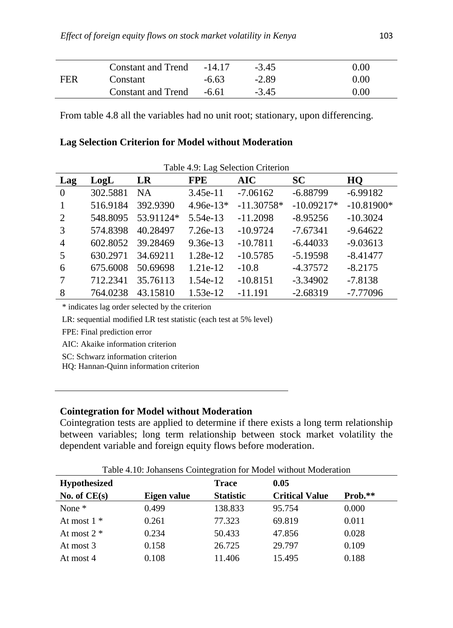|     | Constant and Trend -14.17 |         | $-3.45$ | 0.00 |
|-----|---------------------------|---------|---------|------|
| FER | Constant                  | $-6.63$ | $-2.89$ | 0.00 |
|     | Constant and Trend -6.61  |         | $-3.45$ | 0.00 |

From table 4.8 all the variables had no unit root; stationary, upon differencing.

#### **Lag Selection Criterion for Model without Moderation**

| Table 4.9: Lag Selection Criterion |          |           |             |              |              |              |
|------------------------------------|----------|-----------|-------------|--------------|--------------|--------------|
| Lag                                | LogL     | LR        | <b>FPE</b>  | <b>AIC</b>   | <b>SC</b>    | HQ           |
| $\overline{0}$                     | 302.5881 | <b>NA</b> | $3.45e-11$  | $-7.06162$   | $-6.88799$   | $-6.99182$   |
|                                    | 516.9184 | 392.9390  | $4.96e-13*$ | $-11.30758*$ | $-10.09217*$ | $-10.81900*$ |
| $\mathcal{D}_{\mathcal{L}}$        | 548.8095 | 53.91124* | 5.54e-13    | $-11.2098$   | $-8.95256$   | $-10.3024$   |
| 3                                  | 574.8398 | 40.28497  | $7.26e-13$  | $-10.9724$   | $-7.67341$   | $-9.64622$   |
| $\overline{4}$                     | 602.8052 | 39.28469  | $9.36e-13$  | $-10.7811$   | $-6.44033$   | $-9.03613$   |
| 5                                  | 630.2971 | 34.69211  | 1.28e-12    | $-10.5785$   | $-5.19598$   | $-8.41477$   |
| 6                                  | 675.6008 | 50.69698  | $1.21e-12$  | $-10.8$      | $-4.37572$   | $-8.2175$    |
|                                    | 712.2341 | 35.76113  | 1.54e-12    | $-10.8151$   | $-3.34902$   | $-7.8138$    |
| 8                                  | 764.0238 | 43.15810  | $1.53e-12$  | $-11.191$    | $-2.68319$   | $-7.77096$   |

\* indicates lag order selected by the criterion

LR: sequential modified LR test statistic (each test at 5% level)

FPE: Final prediction error

AIC: Akaike information criterion

SC: Schwarz information criterion

HQ: Hannan-Quinn information criterion

#### **Cointegration for Model without Moderation**

Cointegration tests are applied to determine if there exists a long term relationship between variables; long term relationship between stock market volatility the dependent variable and foreign equity flows before moderation.

Table 4.10: Johansens Cointegration for Model without Moderation

| <b>Hypothesized</b> |             | <b>Trace</b>     | 0.05                  |         |
|---------------------|-------------|------------------|-----------------------|---------|
| No. of $CE(s)$      | Eigen value | <b>Statistic</b> | <b>Critical Value</b> | Prob.** |
| None $*$            | 0.499       | 138.833          | 95.754                | 0.000   |
| At most $1 *$       | 0.261       | 77.323           | 69.819                | 0.011   |
| At most $2 *$       | 0.234       | 50.433           | 47.856                | 0.028   |
| At most 3           | 0.158       | 26.725           | 29.797                | 0.109   |
| At most 4           | 0.108       | 11.406           | 15.495                | 0.188   |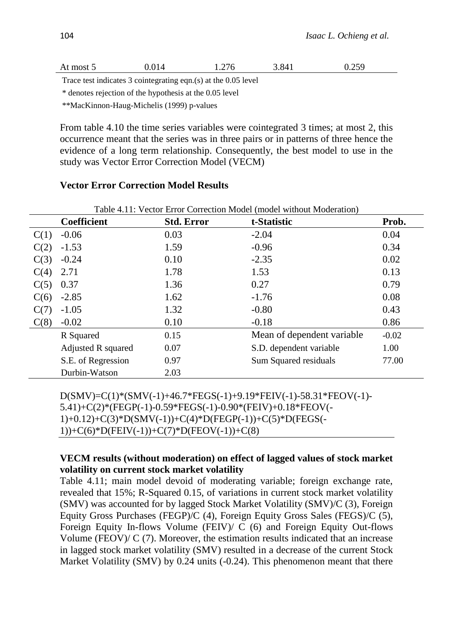| At most 5 | 0.014 | 1.276 | 3.841 | 0.259 |
|-----------|-------|-------|-------|-------|
|           |       |       |       |       |

Trace test indicates 3 cointegrating eqn.(s) at the 0.05 level

\* denotes rejection of the hypothesis at the 0.05 level

\*\*MacKinnon-Haug-Michelis (1999) p-values

From table 4.10 the time series variables were cointegrated 3 times; at most 2, this occurrence meant that the series was in three pairs or in patterns of three hence the evidence of a long term relationship. Consequently, the best model to use in the study was Vector Error Correction Model (VECM)

### **Vector Error Correction Model Results**

|      | Table 4.11: Vector Error Correction Model (model without Moderation) |                   |                             |         |  |  |
|------|----------------------------------------------------------------------|-------------------|-----------------------------|---------|--|--|
|      | <b>Coefficient</b>                                                   | <b>Std. Error</b> | t-Statistic                 | Prob.   |  |  |
| C(1) | $-0.06$                                                              | 0.03              | $-2.04$                     | 0.04    |  |  |
| C(2) | $-1.53$                                                              | 1.59              | $-0.96$                     | 0.34    |  |  |
| C(3) | $-0.24$                                                              | 0.10              | $-2.35$                     | 0.02    |  |  |
| C(4) | 2.71                                                                 | 1.78              | 1.53                        | 0.13    |  |  |
| C(5) | 0.37                                                                 | 1.36              | 0.27                        | 0.79    |  |  |
| C(6) | $-2.85$                                                              | 1.62              | $-1.76$                     | 0.08    |  |  |
| C(7) | $-1.05$                                                              | 1.32              | $-0.80$                     | 0.43    |  |  |
| C(8) | $-0.02$                                                              | 0.10              | $-0.18$                     | 0.86    |  |  |
|      | R Squared                                                            | 0.15              | Mean of dependent variable. | $-0.02$ |  |  |
|      | Adjusted R squared                                                   | 0.07              | S.D. dependent variable     | 1.00    |  |  |
|      | S.E. of Regression                                                   | 0.97              | Sum Squared residuals       | 77.00   |  |  |
|      | Durbin-Watson                                                        | 2.03              |                             |         |  |  |

D(SMV)=C(1)\*(SMV(-1)+46.7\*FEGS(-1)+9.19\*FEIV(-1)-58.31\*FEOV(-1)- 5.41)+C(2)\*(FEGP(-1)-0.59\*FEGS(-1)-0.90\*(FEIV)+0.18\*FEOV(- 1)+0.12)+C(3)\*D(SMV(-1))+C(4)\*D(FEGP(-1))+C(5)\*D(FEGS(- 1))+C(6)\*D(FEIV(-1))+C(7)\*D(FEOV(-1))+C(8)

### **VECM results (without moderation) on effect of lagged values of stock market volatility on current stock market volatility**

Table 4.11; main model devoid of moderating variable; foreign exchange rate, revealed that 15%; R-Squared 0.15, of variations in current stock market volatility (SMV) was accounted for by lagged Stock Market Volatility (SMV)/C (3), Foreign Equity Gross Purchases (FEGP)/C (4), Foreign Equity Gross Sales (FEGS)/C (5), Foreign Equity In-flows Volume (FEIV)/ C (6) and Foreign Equity Out-flows Volume (FEOV)/  $C(7)$ . Moreover, the estimation results indicated that an increase in lagged stock market volatility (SMV) resulted in a decrease of the current Stock Market Volatility (SMV) by 0.24 units (-0.24). This phenomenon meant that there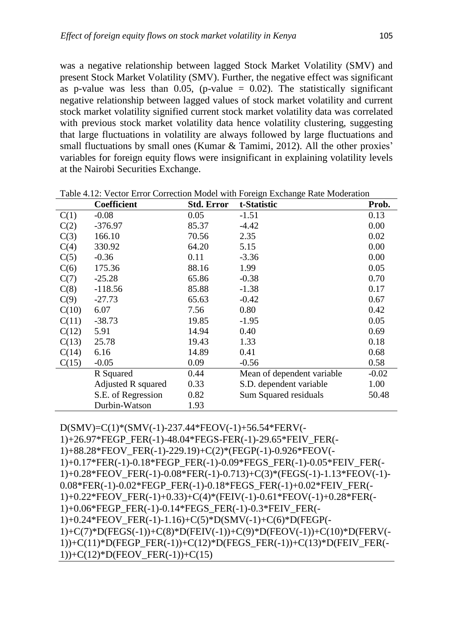was a negative relationship between lagged Stock Market Volatility (SMV) and present Stock Market Volatility (SMV). Further, the negative effect was significant as p-value was less than  $0.05$ , (p-value = 0.02). The statistically significant negative relationship between lagged values of stock market volatility and current stock market volatility signified current stock market volatility data was correlated with previous stock market volatility data hence volatility clustering, suggesting that large fluctuations in volatility are always followed by large fluctuations and small fluctuations by small ones (Kumar & Tamimi, 2012). All the other proxies' variables for foreign equity flows were insignificant in explaining volatility levels at the Nairobi Securities Exchange.

|       | <b>Coefficient</b> | <b>Std. Error</b> | t-Statistic                | Prob.   |
|-------|--------------------|-------------------|----------------------------|---------|
| C(1)  | $-0.08$            | 0.05              | $-1.51$                    | 0.13    |
| C(2)  | $-376.97$          | 85.37             | $-4.42$                    | 0.00    |
| C(3)  | 166.10             | 70.56             | 2.35                       | 0.02    |
| C(4)  | 330.92             | 64.20             | 5.15                       | 0.00    |
| C(5)  | $-0.36$            | 0.11              | $-3.36$                    | 0.00    |
| C(6)  | 175.36             | 88.16             | 1.99                       | 0.05    |
| C(7)  | $-25.28$           | 65.86             | $-0.38$                    | 0.70    |
| C(8)  | $-118.56$          | 85.88             | $-1.38$                    | 0.17    |
| C(9)  | $-27.73$           | 65.63             | $-0.42$                    | 0.67    |
| C(10) | 6.07               | 7.56              | 0.80                       | 0.42    |
| C(11) | $-38.73$           | 19.85             | $-1.95$                    | 0.05    |
| C(12) | 5.91               | 14.94             | 0.40                       | 0.69    |
| C(13) | 25.78              | 19.43             | 1.33                       | 0.18    |
| C(14) | 6.16               | 14.89             | 0.41                       | 0.68    |
| C(15) | $-0.05$            | 0.09              | $-0.56$                    | 0.58    |
|       | R Squared          | 0.44              | Mean of dependent variable | $-0.02$ |
|       | Adjusted R squared | 0.33              | S.D. dependent variable    | 1.00    |
|       | S.E. of Regression | 0.82              | Sum Squared residuals      | 50.48   |
|       | Durbin-Watson      | 1.93              |                            |         |

Table 4.12: Vector Error Correction Model with Foreign Exchange Rate Moderation

D(SMV)=C(1)\*(SMV(-1)-237.44\*FEOV(-1)+56.54\*FERV(-

1)+26.97\*FEGP\_FER(-1)-48.04\*FEGS-FER(-1)-29.65\*FEIV\_FER(- 1)+88.28\*FEOV\_FER(-1)-229.19)+C(2)\*(FEGP(-1)-0.926\*FEOV(- 1)+0.17\*FER(-1)-0.18\*FEGP\_FER(-1)-0.09\*FEGS\_FER(-1)-0.05\*FEIV\_FER(- 1)+0.28\*FEOV\_FER(-1)-0.08\*FER(-1)-0.713)+C(3)\*(FEGS(-1)-1.13\*FEOV(-1)- 0.08\*FER(-1)-0.02\*FEGP\_FER(-1)-0.18\*FEGS\_FER(-1)+0.02\*FEIV\_FER(- 1)+0.22\*FEOV\_FER(-1)+0.33)+C(4)\*(FEIV(-1)-0.61\*FEOV(-1)+0.28\*FER(- 1)+0.06\*FEGP\_FER(-1)-0.14\*FEGS\_FER(-1)-0.3\*FEIV\_FER(- 1)+0.24\*FEOV\_FER(-1)-1.16)+C(5)\*D(SMV(-1)+C(6)\*D(FEGP(- 1)+C(7)\*D(FEGS(-1))+C(8)\*D(FEIV(-1))+C(9)\*D(FEOV(-1))+C(10)\*D(FERV(- 1))+C(11)\*D(FEGP\_FER(-1))+C(12)\*D(FEGS\_FER(-1))+C(13)\*D(FEIV\_FER(-1))+C(12)\*D(FEOV\_FER(-1))+C(15)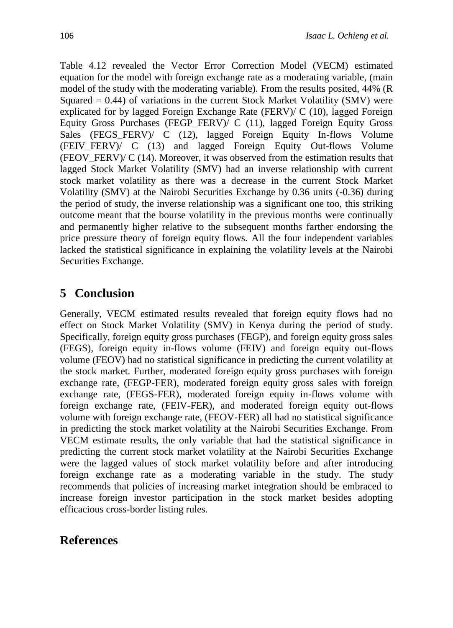Table 4.12 revealed the Vector Error Correction Model (VECM) estimated equation for the model with foreign exchange rate as a moderating variable, (main model of the study with the moderating variable). From the results posited, 44% (R Squared  $= 0.44$ ) of variations in the current Stock Market Volatility (SMV) were explicated for by lagged Foreign Exchange Rate (FERV)/ C (10), lagged Foreign Equity Gross Purchases (FEGP\_FERV)/ C (11), lagged Foreign Equity Gross Sales (FEGS FERV)/ C (12), lagged Foreign Equity In-flows Volume (FEIV\_FERV)/ C (13) and lagged Foreign Equity Out-flows Volume (FEOV FERV)/ C (14). Moreover, it was observed from the estimation results that lagged Stock Market Volatility (SMV) had an inverse relationship with current stock market volatility as there was a decrease in the current Stock Market Volatility (SMV) at the Nairobi Securities Exchange by 0.36 units (-0.36) during the period of study, the inverse relationship was a significant one too, this striking outcome meant that the bourse volatility in the previous months were continually and permanently higher relative to the subsequent months farther endorsing the price pressure theory of foreign equity flows. All the four independent variables lacked the statistical significance in explaining the volatility levels at the Nairobi Securities Exchange.

# **5 Conclusion**

Generally, VECM estimated results revealed that foreign equity flows had no effect on Stock Market Volatility (SMV) in Kenya during the period of study. Specifically, foreign equity gross purchases (FEGP), and foreign equity gross sales (FEGS), foreign equity in-flows volume (FEIV) and foreign equity out-flows volume (FEOV) had no statistical significance in predicting the current volatility at the stock market. Further, moderated foreign equity gross purchases with foreign exchange rate, (FEGP-FER), moderated foreign equity gross sales with foreign exchange rate, (FEGS-FER), moderated foreign equity in-flows volume with foreign exchange rate, (FEIV-FER), and moderated foreign equity out-flows volume with foreign exchange rate, (FEOV-FER) all had no statistical significance in predicting the stock market volatility at the Nairobi Securities Exchange. From VECM estimate results, the only variable that had the statistical significance in predicting the current stock market volatility at the Nairobi Securities Exchange were the lagged values of stock market volatility before and after introducing foreign exchange rate as a moderating variable in the study. The study recommends that policies of increasing market integration should be embraced to increase foreign investor participation in the stock market besides adopting efficacious cross-border listing rules.

# **References**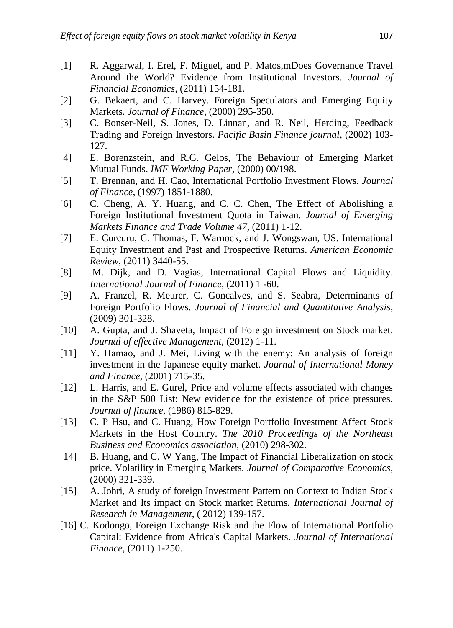- [1] R. Aggarwal, I. Erel, F. Miguel, and P. Matos,mDoes Governance Travel Around the World? Evidence from Institutional Investors. *Journal of Financial Economics*, (2011) 154-181.
- [2] G. Bekaert, and C. Harvey. Foreign Speculators and Emerging Equity Markets. *Journal of Finance*, (2000) 295-350.
- [3] C. Bonser-Neil, S. Jones, D. Linnan, and R. Neil, Herding, Feedback Trading and Foreign Investors. *Pacific Basin Finance journal*, (2002) 103- 127.
- [4] E. Borenzstein, and R.G. Gelos, The Behaviour of Emerging Market Mutual Funds. *IMF Working Paper*, (2000) 00/198.
- [5] T. Brennan, and H. Cao, International Portfolio Investment Flows. *Journal of Finance*, (1997) 1851-1880.
- [6] C. Cheng, A. Y. Huang, and C. C. Chen, The Effect of Abolishing a Foreign Institutional Investment Quota in Taiwan. *Journal of Emerging Markets Finance and Trade Volume 47*, (2011) 1-12.
- [7] E. Curcuru, C. Thomas, F. Warnock, and J. Wongswan, US. International Equity Investment and Past and Prospective Returns. *American Economic Review*, (2011) 3440-55.
- [8] M. Dijk, and D. Vagias, International Capital Flows and Liquidity. *International Journal of Finance*, (2011) 1 -60.
- [9] A. Franzel, R. Meurer, C. Goncalves, and S. Seabra, Determinants of Foreign Portfolio Flows. *Journal of Financial and Quantitative Analysis*, (2009) 301-328.
- [10] A. Gupta, and J. Shaveta, Impact of Foreign investment on Stock market. *Journal of effective Management*, (2012) 1-11.
- [11] Y. Hamao, and J. Mei, Living with the enemy: An analysis of foreign investment in the Japanese equity market. *Journal of International Money and Finance*, (2001) 715-35.
- [12] L. Harris, and E. Gurel, Price and volume effects associated with changes in the S&P 500 List: New evidence for the existence of price pressures. *Journal of finance*, (1986) 815-829.
- [13] C. P Hsu, and C. Huang, How Foreign Portfolio Investment Affect Stock Markets in the Host Country. *The 2010 Proceedings of the Northeast Business and Economics association*, (2010) 298-302.
- [14] B. Huang, and C. W Yang, The Impact of Financial Liberalization on stock price. Volatility in Emerging Markets. *Journal of Comparative Economics*, (2000) 321-339.
- [15] A. Johri, A study of foreign Investment Pattern on Context to Indian Stock Market and Its impact on Stock market Returns. *International Journal of Research in Management*, ( 2012) 139-157.
- [16] C. Kodongo, Foreign Exchange Risk and the Flow of International Portfolio Capital: Evidence from Africa's Capital Markets. *Journal of International Finance*, (2011) 1-250.